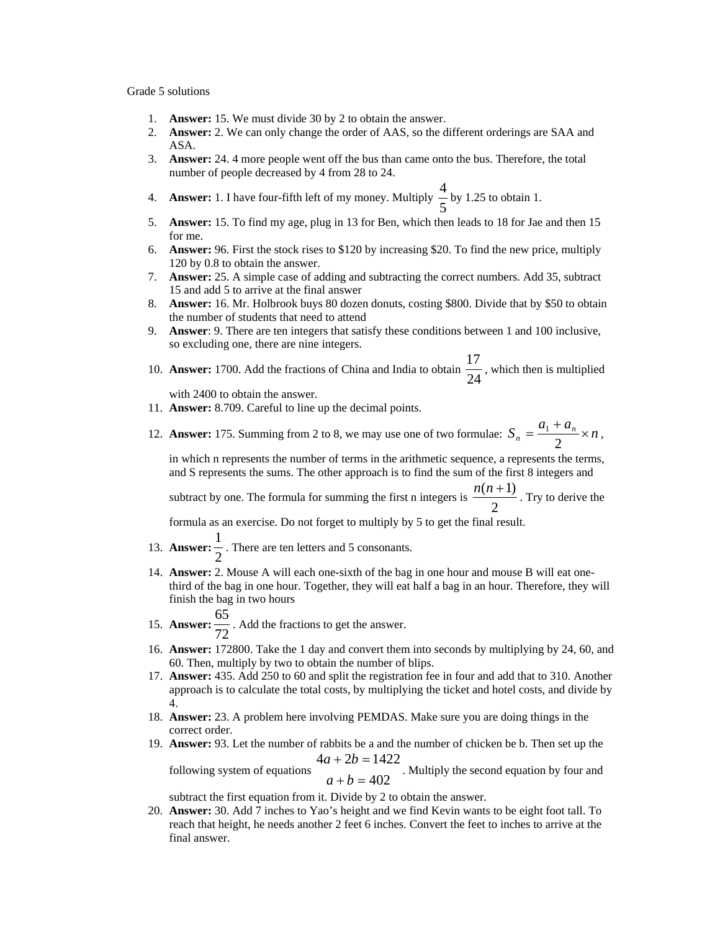## Grade 5 solutions

- 1. **Answer:** 15. We must divide 30 by 2 to obtain the answer.
- 2. **Answer:** 2. We can only change the order of AAS, so the different orderings are SAA and ASA.
- 3. **Answer:** 24. 4 more people went off the bus than came onto the bus. Therefore, the total number of people decreased by 4 from 28 to 24.
- 4. **Answer:** 1. I have four-fifth left of my money. Multiply  $\frac{1}{5}$  $\frac{4}{5}$  by 1.25 to obtain 1.
- 5. **Answer:** 15. To find my age, plug in 13 for Ben, which then leads to 18 for Jae and then 15 for me.
- 6. **Answer:** 96. First the stock rises to \$120 by increasing \$20. To find the new price, multiply 120 by 0.8 to obtain the answer.
- 7. **Answer:** 25. A simple case of adding and subtracting the correct numbers. Add 35, subtract 15 and add 5 to arrive at the final answer
- 8. **Answer:** 16. Mr. Holbrook buys 80 dozen donuts, costing \$800. Divide that by \$50 to obtain the number of students that need to attend
- 9. **Answer**: 9. There are ten integers that satisfy these conditions between 1 and 100 inclusive, so excluding one, there are nine integers.
- 10. **Answer:** 1700. Add the fractions of China and India to obtain  $\frac{1}{24}$  $\frac{17}{11}$ , which then is multiplied

with 2400 to obtain the answer.

- 11. **Answer:** 8.709. Careful to line up the decimal points.
- 12. **Answer:** 175. Summing from 2 to 8, we may use one of two formulae:  $S_n = \frac{a_1 + a_n}{2} \times n$ ,

in which n represents the number of terms in the arithmetic sequence, a represents the terms, and S represents the sums. The other approach is to find the sum of the first 8 integers and

subtract by one. The formula for summing the first n integers is  $\frac{1}{2}$  $\frac{n(n+1)}{2}$ . Try to derive the

formula as an exercise. Do not forget to multiply by 5 to get the final result.

- 13. **Answer:**  $\frac{1}{2}$  $\frac{1}{2}$ . There are ten letters and 5 consonants.
- 14. **Answer:** 2. Mouse A will each one-sixth of the bag in one hour and mouse B will eat onethird of the bag in one hour. Together, they will eat half a bag in an hour. Therefore, they will finish the bag in two hours
	-
- 15. **Answer:** 72  $\frac{65}{2}$ . Add the fractions to get the answer.
- 16. **Answer:** 172800. Take the 1 day and convert them into seconds by multiplying by 24, 60, and 60. Then, multiply by two to obtain the number of blips.
- 17. **Answer:** 435. Add 250 to 60 and split the registration fee in four and add that to 310. Another approach is to calculate the total costs, by multiplying the ticket and hotel costs, and divide by 4.
- 18. **Answer:** 23. A problem here involving PEMDAS. Make sure you are doing things in the correct order.
- 19. **Answer:** 93. Let the number of rabbits be a and the number of chicken be b. Then set up the  $4a + 2b = 1422$  $+ 2b =$  $a + 2b$

following system of equations  $a+b=402$  $+ b =$  $a + b$ . Multiply the second equation by four and

subtract the first equation from it. Divide by 2 to obtain the answer.

20. **Answer:** 30. Add 7 inches to Yao's height and we find Kevin wants to be eight foot tall. To reach that height, he needs another 2 feet 6 inches. Convert the feet to inches to arrive at the final answer.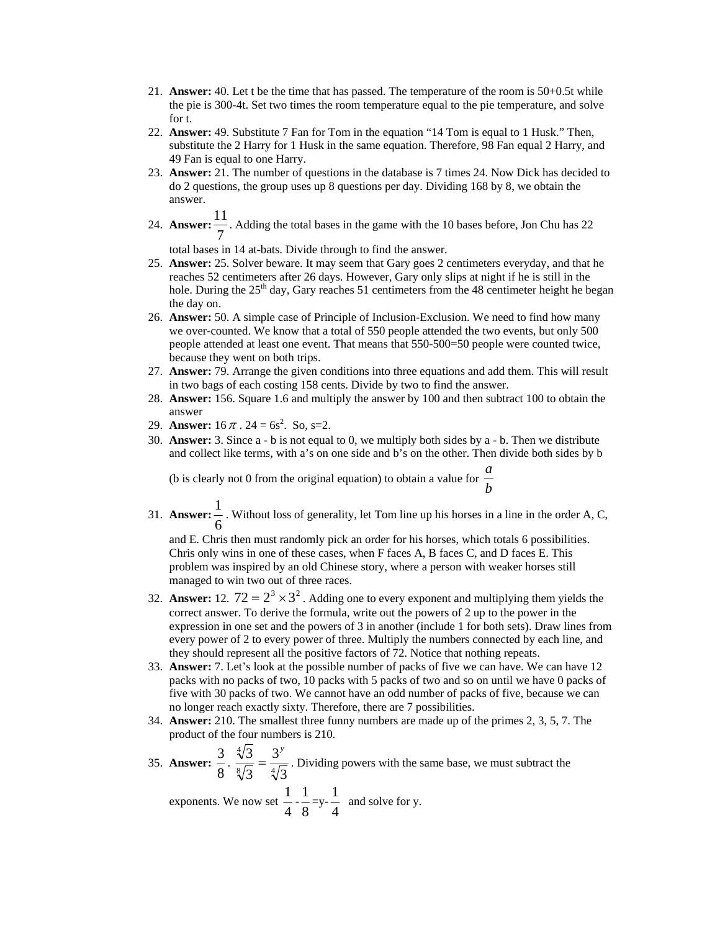- 21. **Answer:** 40. Let t be the time that has passed. The temperature of the room is 50+0.5t while the pie is 300-4t. Set two times the room temperature equal to the pie temperature, and solve for t.
- 22. **Answer:** 49. Substitute 7 Fan for Tom in the equation "14 Tom is equal to 1 Husk." Then, substitute the 2 Harry for 1 Husk in the same equation. Therefore, 98 Fan equal 2 Harry, and 49 Fan is equal to one Harry.
- 23. **Answer:** 21. The number of questions in the database is 7 times 24. Now Dick has decided to do 2 questions, the group uses up 8 questions per day. Dividing 168 by 8, we obtain the answer.
- 24. **Answer:** 7 11 . Adding the total bases in the game with the 10 bases before, Jon Chu has 22

total bases in 14 at-bats. Divide through to find the answer.

- 25. **Answer:** 25. Solver beware. It may seem that Gary goes 2 centimeters everyday, and that he reaches 52 centimeters after 26 days. However, Gary only slips at night if he is still in the hole. During the  $25<sup>th</sup>$  day, Gary reaches 51 centimeters from the 48 centimeter height he began the day on.
- 26. **Answer:** 50. A simple case of Principle of Inclusion-Exclusion. We need to find how many we over-counted. We know that a total of 550 people attended the two events, but only 500 people attended at least one event. That means that 550-500=50 people were counted twice, because they went on both trips.
- 27. **Answer:** 79. Arrange the given conditions into three equations and add them. This will result in two bags of each costing 158 cents. Divide by two to find the answer.
- 28. **Answer:** 156. Square 1.6 and multiply the answer by 100 and then subtract 100 to obtain the answer
- 29. **Answer:**  $16 \pi$ .  $24 = 6s^2$ . So, s=2.
- 30. **Answer:** 3. Since a b is not equal to 0, we multiply both sides by a b. Then we distribute and collect like terms, with a's on one side and b's on the other. Then divide both sides by b

(b is clearly not 0 from the original equation) to obtain a value for  $\frac{b}{b}$ *a*

31. **Answer:** 6  $\frac{1}{x}$ . Without loss of generality, let Tom line up his horses in a line in the order A, C,

and E. Chris then must randomly pick an order for his horses, which totals 6 possibilities. Chris only wins in one of these cases, when F faces A, B faces C, and D faces E. This problem was inspired by an old Chinese story, where a person with weaker horses still managed to win two out of three races.

- 32. **Answer:** 12.  $72 = 2^3 \times 3^2$ . Adding one to every exponent and multiplying them yields the correct answer. To derive the formula, write out the powers of 2 up to the power in the expression in one set and the powers of 3 in another (include 1 for both sets). Draw lines from every power of 2 to every power of three. Multiply the numbers connected by each line, and they should represent all the positive factors of 72. Notice that nothing repeats.
- 33. **Answer:** 7. Let's look at the possible number of packs of five we can have. We can have 12 packs with no packs of two, 10 packs with 5 packs of two and so on until we have 0 packs of five with 30 packs of two. We cannot have an odd number of packs of five, because we can no longer reach exactly sixty. Therefore, there are 7 possibilities.
- 34. **Answer:** 210. The smallest three funny numbers are made up of the primes 2, 3, 5, 7. The product of the four numbers is 210.
- 35. **Answer:**  $\frac{3}{8} \cdot \frac{\sqrt[4]{3}}{\sqrt[8]{3}} = \frac{3}{4}$ 3 3 3  $\frac{3}{5} = \frac{3^y}{\sqrt{2}}$ . Dividing powers with the same base, we must subtract the

exponents. We now set  $\frac{1}{4}$  $\frac{1}{1}$ 8 1  $=y-\frac{1}{4}$  $\frac{1}{x}$  and solve for y.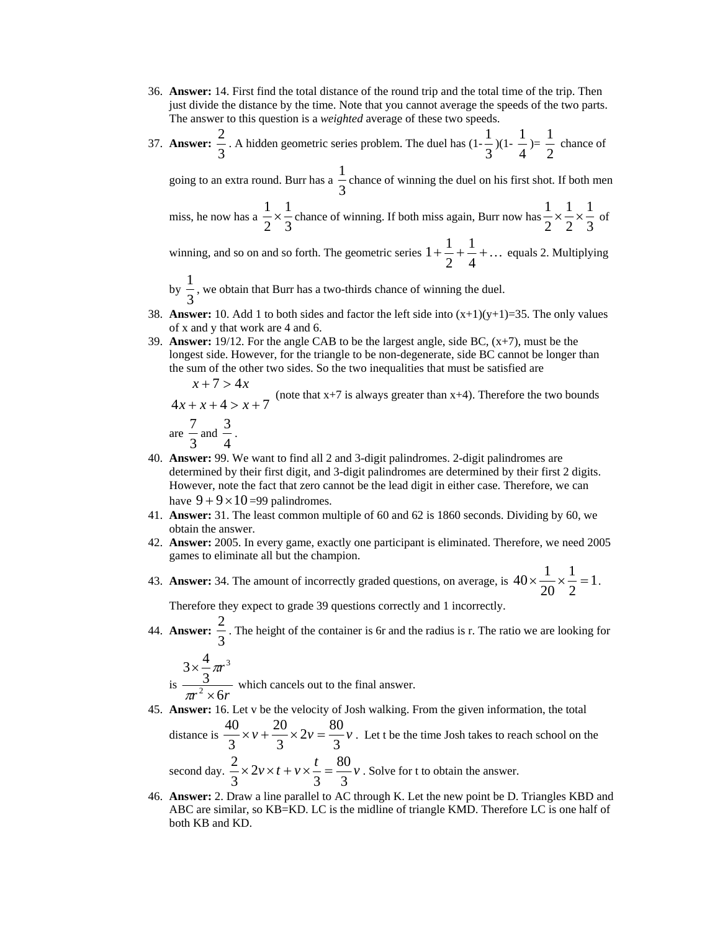- 36. **Answer:** 14. First find the total distance of the round trip and the total time of the trip. Then just divide the distance by the time. Note that you cannot average the speeds of the two parts. The answer to this question is a *weighted* average of these two speeds.
- 37. **Answer:** 3 2 . A hidden geometric series problem. The duel has  $(1-\frac{1}{3})$ 1  $)(1-\frac{1}{4})$ 1  $) = \frac{1}{2}$  $\frac{1}{1}$  chance of

going to an extra round. Burr has a  $\frac{2}{3}$ 1 chance of winning the duel on his first shot. If both men

miss, he now has a  $\frac{1}{2} \times \frac{1}{3}$ 1 2  $\frac{1}{2} \times \frac{1}{3}$  chance of winning. If both miss again, Burr now has  $\frac{1}{2} \times \frac{1}{2} \times \frac{1}{3}$ 2 1 2  $\frac{1}{2} \times \frac{1}{2} \times \frac{1}{2}$  of

winning, and so on and so forth. The geometric series  $1 + \frac{1}{2} + \frac{1}{4} + \dots$ 2  $1 + \frac{1}{1} + \frac{1}{1} + \dots$  equals 2. Multiplying

by  $\frac{1}{3}$  $\frac{1}{2}$ , we obtain that Burr has a two-thirds chance of winning the duel.

- 38. **Answer:** 10. Add 1 to both sides and factor the left side into  $(x+1)(y+1)=35$ . The only values of x and y that work are 4 and 6.
- 39. **Answer:** 19/12. For the angle CAB to be the largest angle, side BC, (x+7), must be the longest side. However, for the triangle to be non-degenerate, side BC cannot be longer than the sum of the other two sides. So the two inequalities that must be satisfied are

 $4x + x + 4 > x + 7$  $7 > 4$  $+ x + 4 > x +$  $+ 7 >$  $x + x + 4 > x$  $x + 7 > 4x$ (note that  $x+7$  is always greater than  $x+4$ ). Therefore the two bounds are  $\frac{7}{2}$  and  $\frac{3}{2}$ .

$$
\frac{\text{are}}{3} = \frac{1}{4}
$$

- 40. **Answer:** 99. We want to find all 2 and 3-digit palindromes. 2-digit palindromes are determined by their first digit, and 3-digit palindromes are determined by their first 2 digits. However, note the fact that zero cannot be the lead digit in either case. Therefore, we can have  $9 + 9 \times 10 = 99$  palindromes.
- 41. **Answer:** 31. The least common multiple of 60 and 62 is 1860 seconds. Dividing by 60, we obtain the answer.
- 42. **Answer:** 2005. In every game, exactly one participant is eliminated. Therefore, we need 2005 games to eliminate all but the champion.
- 43. **Answer:** 34. The amount of incorrectly graded questions, on average, is  $40 \times \frac{1}{20} \times \frac{1}{2} = 1$ 2 1 20  $40 \times \frac{1}{10} \times \frac{1}{10} = 1$ .

Therefore they expect to grade 39 questions correctly and 1 incorrectly.

44. **Answer:** 3  $\frac{2}{x}$ . The height of the container is 6r and the radius is r. The ratio we are looking for

$$
3 \times \frac{4}{3} \pi r^{3}
$$
  
is  $\frac{3}{\pi r^{2} \times 6r}$  which cancels out to the final answer.

45. **Answer:** 16. Let v be the velocity of Josh walking. From the given information, the total  $2v = \frac{80}{3}$ 20  $\frac{40}{2} \times v + \frac{20}{2} \times 2v = \frac{80}{2}v$ . Let t be the time Josh takes to reach school on the

distance is  $\frac{40}{2} \times v + \frac{20}{2} \times 2v = \frac{80}{2}v$ 3 3 3 *t* 80 2

second day. 
$$
\frac{2}{3} \times 2v \times t + v \times \frac{1}{3} = \frac{60}{3}v
$$
. Solve for t to obtain the answer.

46. **Answer:** 2. Draw a line parallel to AC through K. Let the new point be D. Triangles KBD and ABC are similar, so KB=KD. LC is the midline of triangle KMD. Therefore LC is one half of both KB and KD.